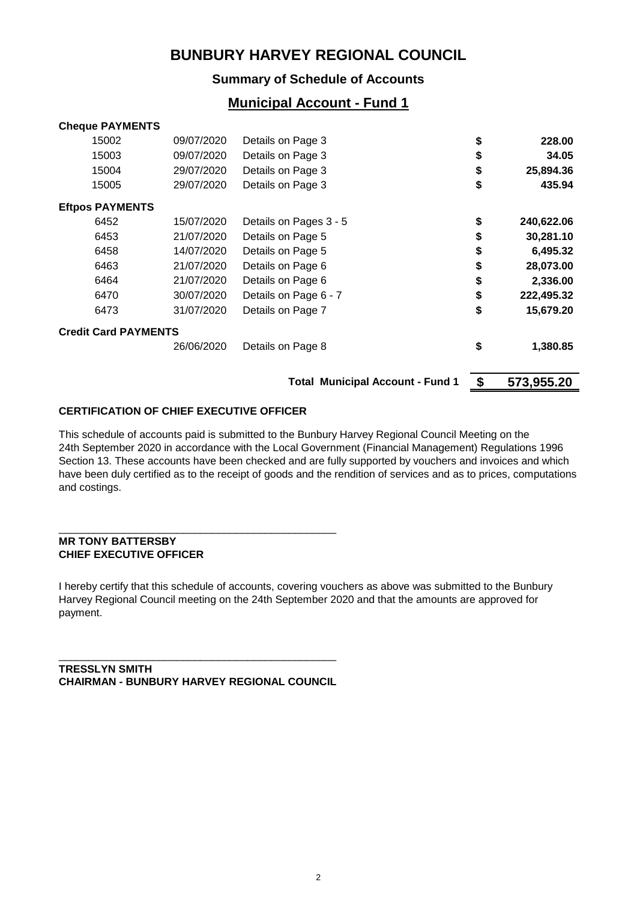## **City of Bunbury Schedule of Accounts Paid for Period 1/07/2020 to 31/07/2020**

## **BHRC Municipal Account**

| Reference No.          | Date       | Payee                                        |            | Description      |                                                    |                               | Amount      |
|------------------------|------------|----------------------------------------------|------------|------------------|----------------------------------------------------|-------------------------------|-------------|
| <b>Cheque Payments</b> |            |                                              |            |                  |                                                    |                               |             |
| 00015002               | 09/07/2020 | <b>Bill Adams</b>                            |            |                  |                                                    |                               | 228.00      |
|                        |            |                                              | <b>INV</b> | JUNE20           | Councillor Meeting Attendance Fees April - June 20 | 228.00                        |             |
| 00015003               | 09/07/2020 | Petty Cash - Bunbury Harvey Regional Council |            |                  |                                                    |                               | 34.05       |
|                        |            |                                              | <b>INV</b> | 300620           | Petty Cash                                         | 34.05                         |             |
| 00015004               | 29/07/2020 | Shire of Dardanup                            |            |                  |                                                    |                               | 25,894.36   |
|                        |            |                                              | <b>INV</b> | 31925            | Electricity Charges - BROPF Dec 2016 to Jun 2020   | 25,894.36                     |             |
| 00015005               | 29/07/2020 | <b>Telstra Corporation Ltd</b>               |            |                  |                                                    |                               | 435.94      |
|                        |            |                                              | <b>INV</b> | 3190891253/JUN20 | Telephone Charges - June 2020                      | 4.99                          |             |
|                        |            |                                              | <b>INV</b> | 1553485144       | Internet Charges - July 2020                       | 430.95                        |             |
|                        |            |                                              |            |                  |                                                    | <b>Total: Cheque Payments</b> | \$26,592.35 |
| <b>EFT Payments</b>    |            |                                              |            |                  |                                                    |                               |             |
| 6452.1261-01           | 15/07/2020 | Nightguard Security Service Pty Ltd          |            |                  |                                                    |                               | 352.00      |
|                        |            |                                              | <b>INV</b> | 149580           | <b>Security Patrols</b>                            | 352.00                        |             |
| 6452.1625-01           | 15/07/2020 | Rudex Australia                              |            |                  |                                                    |                               | 6,426.99    |
|                        |            |                                              | <b>INV</b> | 37515            | Chevron Belt - Shredder                            | 6,426.99                      |             |
| 6452.194-01            | 15/07/2020 | J Blackwood & Son Pty Ltd                    |            |                  |                                                    |                               | 236.24      |
|                        |            |                                              | <b>INV</b> | <b>PE2580WS</b>  | Staff PPE - SRWMF                                  | 236.24                        |             |
| 6452.2302-01           | 15/07/2020 | Tania Jackson                                |            |                  |                                                    |                               | 228.00      |
|                        |            |                                              | <b>INV</b> | JUNE20           | Councillor Meeting Attendance Fees April - June 20 | 228.00                        |             |
| 6452.242-01            | 15/07/2020 | <b>Bunbury Batteries &amp; Radiators</b>     |            |                  |                                                    |                               | 2,970.00    |
|                        |            |                                              | <b>INV</b> | 114374           | Vehicle Maintenance - Morbark Mulcher              | 2,970.00                      |             |
| 6452.2605-01           | 15/07/2020 | Wren Oil                                     |            |                  |                                                    |                               | 1,259.50    |
|                        |            |                                              | <b>INV</b> | 91851            | Waste Oil Disposal - June 2020                     | 665.50                        |             |
|                        |            |                                              | INV        | 87733            | Waste Oil Disposal - April 2020                    | 577.50                        |             |
|                        |            |                                              | <b>INV</b> | 85475            | Waste Oil Disposal - March 2020                    | 16.50                         |             |
| 6452.283-01            | 15/07/2020 | <b>Bunbury Machinery</b>                     |            |                  |                                                    |                               | 970.54      |
|                        |            |                                              | <b>INV</b> | J58807           | Plant Parts & Repairs - Loader                     | 970.54                        |             |
| 6452.3083-01           | 15/07/2020 | Golden West Tyre Service                     |            |                  |                                                    |                               | 506.00      |
|                        |            |                                              | <b>INV</b> | 216              | Tyre Service - BY368                               | 506.00                        |             |
| 6452.3093-01           | 15/07/2020 | RTS Diesel South West                        |            |                  |                                                    |                               | 9,492.23    |
|                        |            |                                              | <b>INV</b> | 2985             | Plant Repairs - Water Cart                         | 3,733.44                      |             |
|                        |            |                                              | <b>INV</b> | 2983             | Plant Repairs - BY953M Hino Tipper                 | 920.23                        |             |
|                        |            |                                              | <b>INV</b> | 3009             | Plant Repairs - Hidromek Excavator                 | 358.88                        |             |
|                        |            |                                              | <b>INV</b> | 2990             | Plant Repairs - Repair Edge Slayer Shredder        | 768.90                        |             |
|                        |            |                                              | <b>INV</b> | 3011             | Plant Repairs - JCB Loader BY075D                  | 814.88                        |             |
|                        |            |                                              | <b>INV</b> | 3002             | Plant Repairs - CAT 950K Loader BY410J             | 908.93                        |             |
|                        |            |                                              | <b>INV</b> | 3008             | Plant Repairs - CAT826K Compactor BY980P           | 1,009.03                      |             |
|                        |            |                                              | <b>INV</b> | 3003             | Plant Repairs - Hini Hook Bin Truck BY953M         | 977.94                        |             |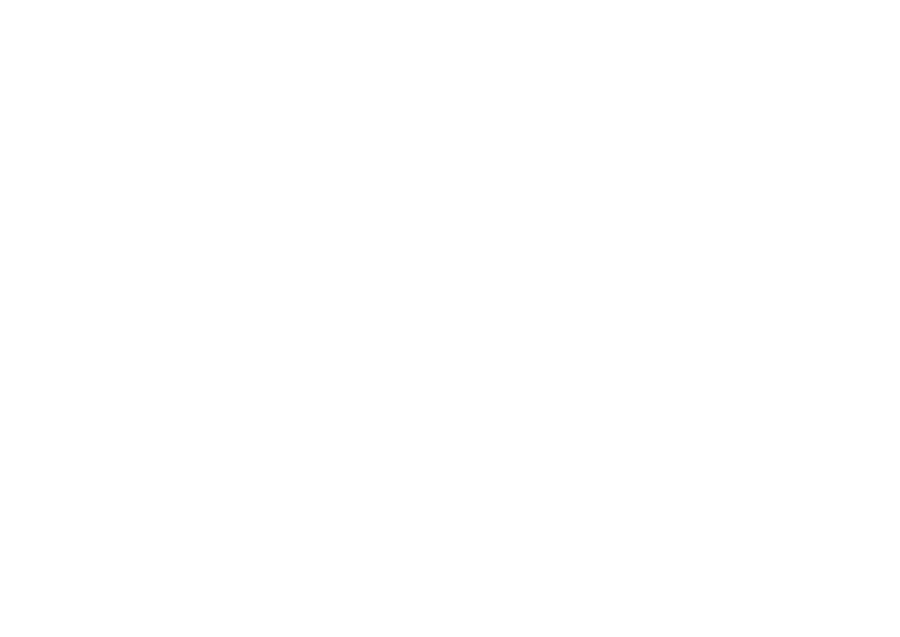| 6452.335-01  | 15/07/2020 | <b>Bunnings Group Limited</b>                    |            |               |                                                    |           | 81.20     |
|--------------|------------|--------------------------------------------------|------------|---------------|----------------------------------------------------|-----------|-----------|
|              |            |                                                  | INV        | 2706/00754812 | Insecticide & Disinfectant - SRWMF                 | 81.20     |           |
| 6452.373-01  | 15/07/2020 | Cardno WA Pty Ltd                                |            |               |                                                    |           | 43,573.13 |
|              |            |                                                  | INV        | ICW202322     | Soil Contamination Investigation                   | 18,474.41 |           |
|              |            |                                                  | INV        | ICW202294     | Soil Contamination Investigation                   | 25,098.72 |           |
| 6452.419-01  | 15/07/2020 | City of Bunbury                                  |            |               |                                                    |           | 10,913.84 |
|              |            |                                                  | INV        | 56487         | Professional and Accounting Fees - June 2020       | 10,913.84 |           |
| 6452.4296-01 | 15/07/2020 | ThinkWater Bunbury                               |            |               |                                                    |           | 66.39     |
|              |            |                                                  | INV        | R2214         | <b>Retic Parts</b>                                 | 66.39     |           |
| 6452.5236-01 | 15/07/2020 | <b>Brandicoot</b>                                |            |               |                                                    |           | 198.00    |
|              |            |                                                  | INV        | 26458         | Website Subscription Fee - July 2020               | 198.00    |           |
| 6452.5425-01 | 15/07/2020 | Councillor J De San Miguel                       |            |               |                                                    |           | 137.00    |
|              |            |                                                  | <b>INV</b> | JUNE20        | Councillor Meeting Attendance Fees April - June 20 | 137.00    |           |
| 6452.5583-01 | 15/07/2020 | Kordt Engineering                                |            |               |                                                    |           | 1,886.50  |
|              |            |                                                  | <b>INV</b> | 8158          | Hookbin Repairs                                    | 1,342.00  |           |
|              |            |                                                  | <b>INV</b> | 8160          | Plant Reapirs - JCB Loader BY075D                  | 99.00     |           |
|              |            |                                                  | <b>INV</b> | 8192          | Plant Repairs - JCB Loader BY075D                  | 132.00    |           |
|              |            |                                                  | INV        | 8159          | Hookbin Repairs - SRWMF                            | 313.50    |           |
| 6452.5609-01 | 15/07/2020 | Westside Equipment                               |            |               |                                                    |           | 478.50    |
|              |            |                                                  | <b>INV</b> | JN21034       | Transport Edge Slayer                              | 478.50    |           |
| 6452.585-01  | 15/07/2020 | Department of Water and Environmental Regulation |            |               |                                                    |           | 70,647.22 |
|              |            |                                                  | INV        | L8949/2016/1  | Landfill Levy - SRWMF April to June 2020           | 70,559.22 |           |
|              |            |                                                  | INV        | TF014357      | Waste Tracking Form                                | 88.00     |           |
| 6452.6086-01 | 15/07/2020 | Hosepro South West Pty Ltd                       |            |               |                                                    |           | 13,830.74 |
|              |            |                                                  | INV        | 2639          | Plant Repairs - JCB Loader BY175S                  | 373.54    |           |
|              |            |                                                  | INV        | 30/06/2020    | Plant Repairs - JCB Loader BY175S                  | 317.63    |           |
|              |            |                                                  | INV        | 2620          | Plant Repairs - Hino Hook Bin Truck BY953M         | 181.50    |           |
|              |            |                                                  | <b>INV</b> | 2638          | Plant Repairs - Edge Slayer Shredder               | 407.88    |           |
|              |            |                                                  | <b>INV</b> | 2597          | Plant Repairs - JCB Loader BY175S                  | 1,843.14  |           |
|              |            |                                                  | INV        | 2754          | Plant Repairs - Hi Lift Bucket                     | 2,197.25  |           |
|              |            |                                                  | <b>INV</b> | 2682          | Plant Repairs - JCB Loader BY075D                  | 1,496.28  |           |
|              |            |                                                  | INV        | 2608          | Plant Repairs - Edge Slayer Shredder               | 1,503.22  |           |
|              |            |                                                  | INV        | 2612          | Plant Repairs - John Deer Skid Steer BY620J        | 1,156.58  |           |
|              |            |                                                  | <b>INV</b> | 2723          | Plant Repairs - JCB Loader BY175S                  | 363.00    |           |
|              |            |                                                  | INV        | 2736          | Plant Repairs - JCB Loader BY175S                  | 973.63    |           |
|              |            |                                                  | INV        | 2475          | Plant Repairs - Portafill Screener                 | 579.96    |           |
|              |            |                                                  | INV        | 2614          | Plant Repairs - CAT Loader BY410J                  | 1,134.12  |           |
|              |            |                                                  | <b>INV</b> | 2506          | Plant Repairs - Hidromek Excavator                 | 914.98    |           |
|              |            |                                                  | <b>INV</b> | 2732          | Plant Repairs - John Deer Skid Steer BY620J        | 388.03    |           |
| 6452.6141-01 | 15/07/2020 | Spartel Pty Ltd                                  |            |               |                                                    |           | 2,640.00  |
|              |            |                                                  | INV        | 1465          | Motor & Impeller Replacement on Aerators           | 1,320.00  |           |
|              |            |                                                  | INV        | 1470          | Motor & Impeller Replacement on Aerators           | 1,320.00  |           |
| 6452.6421-01 | 15/07/2020 | <b>Total Plumbing and Gas</b>                    |            |               |                                                    |           | 246.28    |
|              |            |                                                  | <b>INV</b> | 1839          | Plumbing Repairs - SRWMF                           | 246.28    |           |
| 6452.6443-01 | 15/07/2020 | Trustee for The Grice Family Trust               |            |               |                                                    |           | 352.55    |
|              |            |                                                  | INV        | 267           | Bore Repairs - SRWMF                               | 352.55    |           |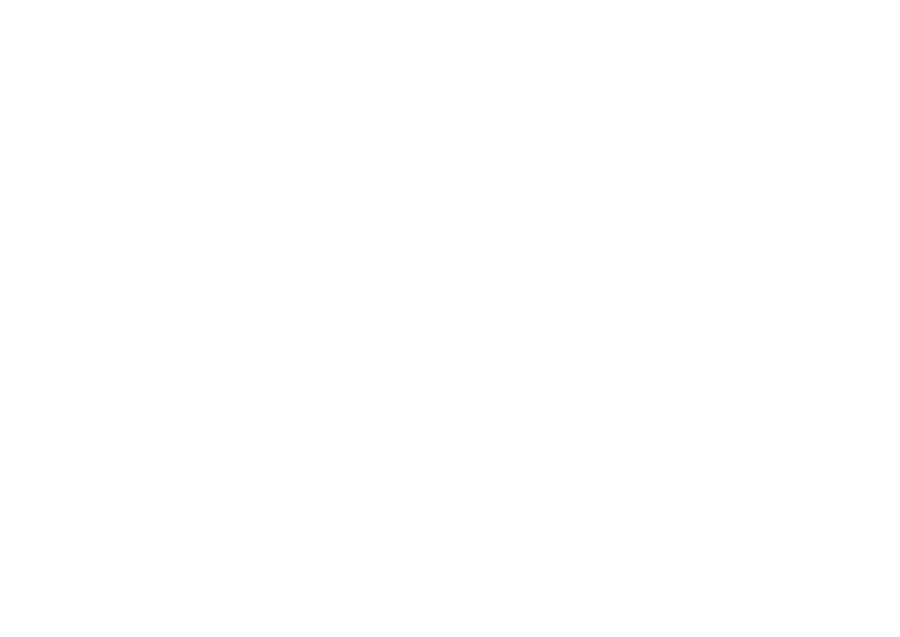| 6452.6464-01 | 15/07/2020 | Trustees for CPSS Unit Trust                        |            |                |                                                    |           | 13,652.90 |
|--------------|------------|-----------------------------------------------------|------------|----------------|----------------------------------------------------|-----------|-----------|
|              |            |                                                     | <b>INV</b> | 91             | Banksia Road Lease - 01/07/20 to 30/09/20          | 6,826.45  |           |
|              |            |                                                     | <b>INV</b> | 85             | Banksia Road Lease - 01/04/20 to 30/06/20          | 6,826.45  |           |
| 6452.6593-01 | 15/07/2020 | <b>Spencer Signs</b>                                |            |                |                                                    |           | 82.50     |
|              |            |                                                     | <b>INV</b> | 22883          | Signage - SRWMF                                    | 82.50     |           |
| 6452.6667-01 | 15/07/2020 | ATCO Structure & Logistics                          |            |                |                                                    |           | 321.75    |
|              |            |                                                     | INV        | 41148887       | Office Room Rental - July 2020                     | 321.75    |           |
| 6452.6805-01 | 15/07/2020 | Run Energy Pty Ltd                                  |            |                |                                                    |           | 2,325.95  |
|              |            |                                                     | INV        | 14583          | GCS Monitoring & Flare Rental - June 2020          | 899.25    |           |
|              |            |                                                     | INV        | 14662          | Waste Bore Monitoring - May/June 2020              | 497.20    |           |
|              |            |                                                     | <b>INV</b> | 14585          | Aspiration Well Monitoring - June 2020             | 929.50    |           |
| 6452.6845-01 | 15/07/2020 | Councillor T Smith                                  |            |                |                                                    |           | 410.00    |
|              |            |                                                     | <b>INV</b> | JUNE20         |                                                    | 410.00    |           |
|              |            |                                                     |            |                | Councillor Meeting Attendance Fees April - June 20 |           | 91.00     |
| 6452.7186-01 | 15/07/2020 | Councillor W Dickinson                              | <b>INV</b> | JUNE20         |                                                    | 91.00     |           |
|              |            |                                                     |            |                | Councillor Meeting Attendance Fees April - June 20 |           |           |
| 6452.7665-01 | 15/07/2020 | Level 5 Design Pty Ltd T/A L5D                      |            |                |                                                    |           | 4,180.00  |
|              |            |                                                     | <b>INV</b> | 1129           | <b>Consultancy Services - SWSWA Business Case</b>  | 4,180.00  |           |
| 6452.7749-01 | 15/07/2020 | Caltex Australia Petroleum Pty Ltd - BHRC Bulk Fuel |            |                |                                                    |           | 12,501.09 |
|              |            |                                                     | INV        | 9424248779     | Fuel - SRWMF                                       | 7,646.97  |           |
|              |            |                                                     | <b>INV</b> | 9424263709     | Lubricants - SRWMF                                 | 385.19    |           |
|              |            |                                                     | <b>INV</b> | 9424282591     | Fuel - SRWMF                                       | 4,468.93  |           |
| 6452.7764-01 | 15/07/2020 | Caltex Australia Petroleum Pty Ltd - BHRC StarCard  |            |                |                                                    |           | 83.34     |
|              |            |                                                     | <b>INV</b> | 301868364      | Diesel / Petrol - June 2020                        | 83.34     |           |
| 6452.7867-01 | 15/07/2020 | JBS & G Australia Pty Ltd                           |            |                |                                                    |           | 4,125.00  |
|              |            |                                                     | <b>INV</b> | 81558          | <b>Bushfire Management Plan - SRWMF</b>            | 4,125.00  |           |
| 6452.7901-01 | 15/07/2020 | <b>Cmac Cleaning Services</b>                       |            |                |                                                    |           | 440.00    |
|              |            |                                                     | <b>INV</b> | 576            | Cleaning Services - BROPF June 2020                | 440.00    |           |
| 6452.792-01  | 15/07/2020 | <b>GHD Pty Ltd</b>                                  |            |                |                                                    |           | 13,760.18 |
|              |            |                                                     | INV        | 112-0040883    | Acid Sulfate Soil Investigation - SRWMF            | 7,028.18  |           |
|              |            |                                                     | <b>INV</b> | 112-0037304    | Stormwater Management Plan                         | 6,732.00  |           |
| 6452.7978-01 | 15/07/2020 | <b>Councillor K Turner</b>                          |            |                |                                                    |           | 228.00    |
|              |            |                                                     | INV        | JUNE20         | Councillor Meeting Attendance Fees April - June 20 | 228.00    |           |
| 6452.8021-01 | 15/07/2020 | Computer Troubleshooters Bunbury                    |            |                |                                                    |           | 1,512.50  |
|              |            |                                                     | <b>INV</b> | 6305           | Monthly IT Service Fee - July 2020                 | 1,512.50  |           |
| 6452.8381-01 | 15/07/2020 | Oakley Design Services Pty Ltd                      |            |                |                                                    |           | 3,630.00  |
|              |            |                                                     | <b>INV</b> | ODS2-7418      | Engineering Services - Electricity Supply SRWMF    | 3,630.00  |           |
| 6452.8420-01 | 15/07/2020 | Menno Henneveld Consulting Pty Ltd                  |            |                |                                                    |           | 15,400.00 |
|              |            |                                                     | INV        | SWA1/20        | Consulting Services - SWSWA May 2020               | 2,750.00  |           |
|              |            |                                                     | <b>INV</b> | SWA2/20        | Consulting Services - SWSWA June 2020              | 12,650.00 |           |
| 6452.8465-01 | 15/07/2020 | <b>Phyllis Bennell</b>                              |            |                |                                                    |           | 385.00    |
|              |            |                                                     | INV 5      |                | Welcome to Country Performance                     | 385.00    |           |
| 6453.136-01  | 21/07/2020 | <b>Australian Taxation Office</b>                   |            |                |                                                    |           | 30,281.10 |
|              |            |                                                     | <b>INV</b> | 56319          | GST Payment - June 2020                            | 30,281.10 |           |
| 6458.585-01  | 14/07/2020 | Department of Water and Environmental Regulation    |            |                |                                                    |           | 6,495.32  |
|              |            |                                                     | <b>INV</b> | W-L8746/2013/1 | Licence Renewal - Bunbury Wellington Organics      | 6,495.32  |           |
|              |            |                                                     |            |                |                                                    |           |           |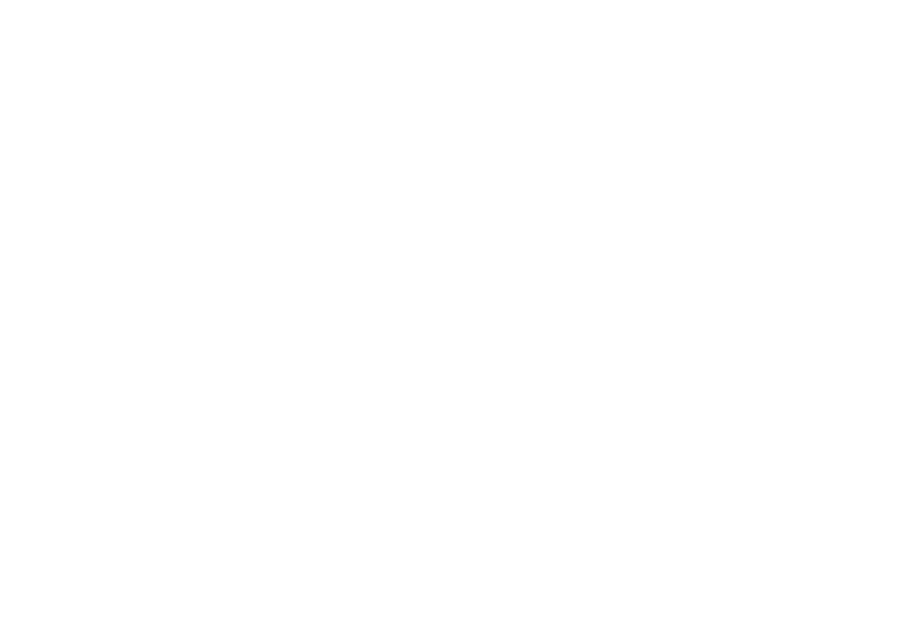| 6463.136-01  | 21/07/2020 | <b>Australian Taxation Office</b>                |            |                  |                                              |           | 28,073.00 |
|--------------|------------|--------------------------------------------------|------------|------------------|----------------------------------------------|-----------|-----------|
|              |            |                                                  | <b>INV</b> | 100620           | PAYG for BHRC Staff - F/E 09/06/2020         | 10,857.00 |           |
|              |            |                                                  | INV        | 230620           | PAYG for BHRC Staff - F/E 23/06/2020         | 17,216.00 |           |
| 6464.136-01  | 21/07/2020 | <b>Australian Taxation Office</b>                |            |                  |                                              |           | 2,336.00  |
|              |            |                                                  | <b>INV</b> | FBT300620        | FBT Payable - Quarter Ending 30 June 2020    | 2,336.00  |           |
| 6470.1082-01 | 30/07/2020 | <b>Living Springs</b>                            |            |                  |                                              |           | 180.00    |
|              |            |                                                  | INV        | 8219             | Water Fountain Supply - SRWMF & BROPF        | 120.00    |           |
|              |            |                                                  | INV        | 8201             | Water Fountain Supply - SRWMF & BROPF        | 60.00     |           |
|              |            |                                                  |            |                  |                                              |           |           |
| 6470.1541-01 | 30/07/2020 | Southern Lock and Security                       |            | 1045             |                                              |           | 366.74    |
|              |            |                                                  | <b>INV</b> |                  | Lock/Key Repairs - SRWMF                     | 366.74    |           |
| 6470.1830-01 | 30/07/2020 | West Australian Newspapers Ltd                   |            |                  |                                              |           | 2,747.00  |
|              |            |                                                  | <b>INV</b> | 1024953720200630 | Advertising - June 2020                      | 2,747.00  |           |
| 6470.1950-01 | 30/07/2020 | Optus Billing Services Pty Ltd                   |            |                  |                                              |           | 190.00    |
|              |            |                                                  | <b>INV</b> | 133644930        | Monthly Data Subscription - July 2020        | 190.00    |           |
| 6470.2102-01 | 30/07/2020 | TNT Australia Pty Ltd                            |            |                  |                                              |           | 27.10     |
|              |            |                                                  | <b>INV</b> | 58925522         | Freight                                      | 27.10     |           |
| 6470.335-01  | 30/07/2020 | <b>Bunnings Group Limited</b>                    |            |                  |                                              |           | 71.81     |
|              |            |                                                  | INV        | 2706/00185127    | <b>General Building/Maintenance Supplies</b> | 28.44     |           |
|              |            |                                                  | <b>INV</b> | 2706/00265014    | <b>General Building/Maintenance Supplies</b> | 16.07     |           |
|              |            |                                                  | INV        | 2706/00168510    | <b>General Building/Maintenance Supplies</b> | 17.78     |           |
|              |            |                                                  | <b>INV</b> | 2706/00156067    | <b>General Building/Maintenance Supplies</b> | 9.52      |           |
| 6470.3513-01 | 30/07/2020 | <b>Total Green Recycling</b>                     |            |                  |                                              |           | 2,379.30  |
|              |            |                                                  | <b>INV</b> | 7906             | eWaste Processing - June 2020                | 2,379.30  |           |
| 6470.4167-01 | 30/07/2020 | The Print Shop Bunbury                           |            |                  |                                              |           | 259.00    |
|              |            |                                                  | <b>INV</b> | 1280698          | Printing - BROPF                             | 259.00    |           |
| 6470.4792-01 | 30/07/2020 | <b>ASK Waste Management</b>                      |            |                  |                                              |           | 1,281.50  |
|              |            |                                                  | <b>INV</b> | 663              | Consultancy Fees - BORR Project              | 1,281.50  |           |
| 6470.5236-01 | 30/07/2020 | <b>Brandicoot</b>                                |            |                  |                                              |           | 198.00    |
|              |            |                                                  | <b>INV</b> | 26523            |                                              | 198.00    |           |
|              |            |                                                  |            |                  | Website Subscription Fee - July 2020         |           |           |
| 6470.5609-01 | 30/07/2020 | Westside Equipment                               |            |                  |                                              |           | 1,383.26  |
|              |            |                                                  | INV        | JN21050          | Vehicle Maintenance - CAT Loader 950K BY410J | 856.91    |           |
|              |            |                                                  | <b>INV</b> | JN20850          | Vehicle Maintenance - Hidromek Excavator     | 526.35    |           |
| 6470.5656-01 | 30/07/2020 | Richgro Garden Products & Amazon Soils           |            |                  |                                              |           | 1,419.00  |
|              |            |                                                  | <b>INV</b> | 806019           | <b>Mulch Testing</b>                         | 1,419.00  |           |
| 6470.5725-02 | 30/07/2020 | Officeworks Superstores Pty Ltd - Bunbury        |            |                  |                                              |           | 150.07    |
|              |            |                                                  | <b>INV</b> | 606409855        | Stationery                                   | 150.07    |           |
| 6470.5741-01 | 30/07/2020 | Picton Tyre Centre Pty Ltd                       |            |                  |                                              |           | 537.00    |
|              |            |                                                  | INV        | J69732           | Tyre Service - CAT Loader BY410J             | 230.50    |           |
|              |            |                                                  | <b>INV</b> | M69275           | Tyre Service - CAT Loader BY410J             | 306.50    |           |
| 6470.585-01  | 30/07/2020 | Department of Water and Environmental Regulation |            |                  |                                              |           | 44.00     |
|              |            |                                                  | <b>INV</b> | TF014531         | Waste Tracking Form - July 2020              | 44.00     |           |
| 6470.6086-01 | 30/07/2020 | Hosepro South West Pty Ltd                       |            |                  |                                              |           | 737.63    |
|              |            |                                                  | INV        | 2810             | Plant Repairs - Wacker Neuson                | 329.31    |           |
|              |            |                                                  | INV        | 2798             | Plant Repairs - Edge Slayer Shredder         | 408.32    |           |
|              |            |                                                  |            |                  |                                              |           |           |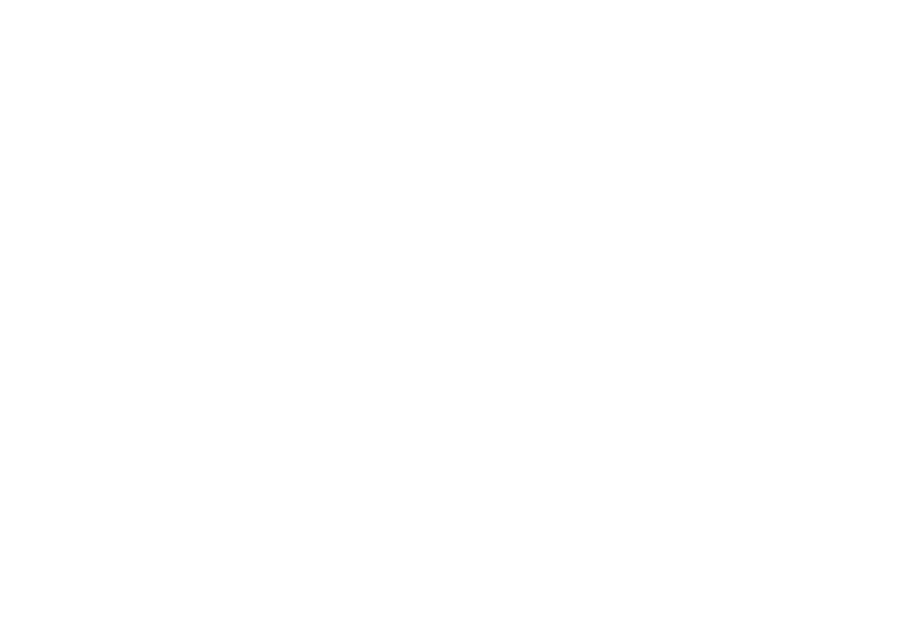| 6470.610-01  | 30/07/2020 | Discount Auto Parts - Bunbury                                      |            |                |                                                  |                            | 289.61       |
|--------------|------------|--------------------------------------------------------------------|------------|----------------|--------------------------------------------------|----------------------------|--------------|
|              |            |                                                                    | <b>INV</b> | 712289         | Vehicle Service - Isuzu Ute BY556P               | 289.61                     |              |
| 6470.6638-01 | 30/07/2020 | Parlan Pty Ltd T/A Environmental and Agricultural Testing Services |            |                |                                                  |                            | 1,222.54     |
|              |            |                                                                    | <b>INV</b> | 2823           | Pond Water Analysis - SRWMF                      | 1,222.54                   |              |
| 6470.6778-01 | 30/07/2020 | C R Kennedy & Company Pty Ltd                                      |            |                |                                                  |                            | 883.74       |
|              |            |                                                                    | <b>INV</b> | 1573953        | Plant Parts - CATD7RII                           | 883.74                     |              |
| 6470.6798-01 | 30/07/2020 | WINC Australia Pty Ltd                                             |            |                |                                                  |                            | 462.41       |
|              |            |                                                                    | INV        | 9033165535     | Stationery                                       | 462.41                     |              |
| 6470.6845-01 | 30/07/2020 | <b>Councillor T Smith</b>                                          |            |                |                                                  |                            | 91.00        |
|              |            |                                                                    | <b>INV</b> | 300620         | Meeting Attendance Fees - July to September 2019 | 91.00                      |              |
| 6470.6902-01 | 30/07/2020 | Fox Transportables Pty Ltd                                         |            |                |                                                  |                            | 150,898.52   |
|              |            |                                                                    | <b>INV</b> | 3868           | Supply & Install Administration Complex SRWMF    | 150,898.52                 |              |
| 6470.7011-01 | 30/07/2020 | <b>QM Air Conditioning</b>                                         |            |                |                                                  |                            | 211.75       |
|              |            |                                                                    | <b>INV</b> | 665            | Degassing of Discarded Fridges/Aircons           | 211.75                     |              |
| 6470.7749-01 | 30/07/2020 | Caltex Australia Petroleum Pty Ltd - BHRC Bulk Fuel                |            |                |                                                  |                            | 8,671.94     |
|              |            |                                                                    | <b>INV</b> | 9424347971     | Fuel                                             | 3,812.84                   |              |
|              |            |                                                                    | <b>INV</b> | 9424309285     | Fuel                                             | 4,859.10                   |              |
| 6470.792-01  | 30/07/2020 | <b>GHD Pty Ltd</b>                                                 |            |                |                                                  |                            | 6,633.22     |
|              |            |                                                                    | INV        | 112-0040884    | Stormwater Management Plan                       | 6,633.22                   |              |
| 6470.8242-01 | 30/07/2020 | Preece Developments Pty Ltd                                        |            |                |                                                  |                            | 254.88       |
|              |            |                                                                    | <b>INV</b> | 340            | Ventilation Installation - SRWMF                 | 254.88                     |              |
| 6470.8421-01 | 30/07/2020 | <b>LFS Advisory Services</b>                                       |            |                |                                                  |                            | 30,200.00    |
|              |            |                                                                    | INV        | 105            | Consultancy - SW Sustainability Waste Alliance   | 30,200.00                  |              |
| 6470.8441-01 | 30/07/2020 | GBJ Systems Pty Ltd                                                |            |                |                                                  |                            | 6,143.50     |
|              |            |                                                                    | <b>INV</b> | 185            | Installation & Monitoring New Camera System      | 2,890.80                   |              |
|              |            |                                                                    | <b>INV</b> | 177            | Camera Installation                              | 3,252.70                   |              |
| 6470.8517-01 | 30/07/2020 | Vantage Consulting                                                 |            |                |                                                  |                            | 2,880.00     |
|              |            |                                                                    | <b>INV</b> | 103            | Consutling - Regional Economic Development Grant | 2,880.00                   |              |
| 6470.8519-01 | 30/07/2020 | <b>Kott Gunning</b>                                                |            |                |                                                  |                            | 1,601.60     |
|              |            |                                                                    | <b>INV</b> | 247162         | Legal Fees                                       | 1,601.60                   |              |
| 6470.868-01  | 30/07/2020 | <b>Heatley Sales Pty Ltd</b>                                       |            |                |                                                  |                            | 79.20        |
|              |            |                                                                    | INV        | Y553638        | <b>Staff Uniform</b>                             | 79.20                      |              |
| 6473.1792-01 | 31/07/2020 | WA Local Government Superannuation Plan                            |            |                |                                                  |                            | 11,137.84    |
|              |            |                                                                    | <b>INV</b> | July BHRC21-2  | Superannuation - July 2020                       | 11,137.84                  |              |
| 6473.2759-01 | 31/07/2020 | <b>Australian Super</b>                                            |            |                |                                                  |                            | 2,786.78     |
|              |            |                                                                    | <b>INV</b> | July BHRC21-73 | Superannuation - July 2020                       | 2,786.78                   |              |
| 6473.3003-01 | 31/07/2020 | <b>Rest Superannuation</b>                                         |            |                |                                                  |                            | 456.09       |
|              |            |                                                                    | <b>INV</b> | July BHRC21-77 | Superannuation - July 2020                       | 456.09                     |              |
| 6473.3900-01 | 31/07/2020 | <b>SunSuper Superannuation</b>                                     |            |                |                                                  |                            | 444.95       |
|              |            |                                                                    | INV        | July BHRC21-96 | Superannuation - July 2020                       | 444.95                     |              |
| 6473.8101-01 | 31/07/2020 | D & K Melbourne Superannuation Fund                                |            |                |                                                  |                            | 853.54       |
|              |            |                                                                    | <b>INV</b> | July BHRC21-74 | Superannuation - July 2020                       | 853.54                     |              |
|              |            |                                                                    |            |                |                                                  | <b>Total: EFT Payments</b> | \$545,982.00 |
|              |            |                                                                    |            |                |                                                  |                            |              |